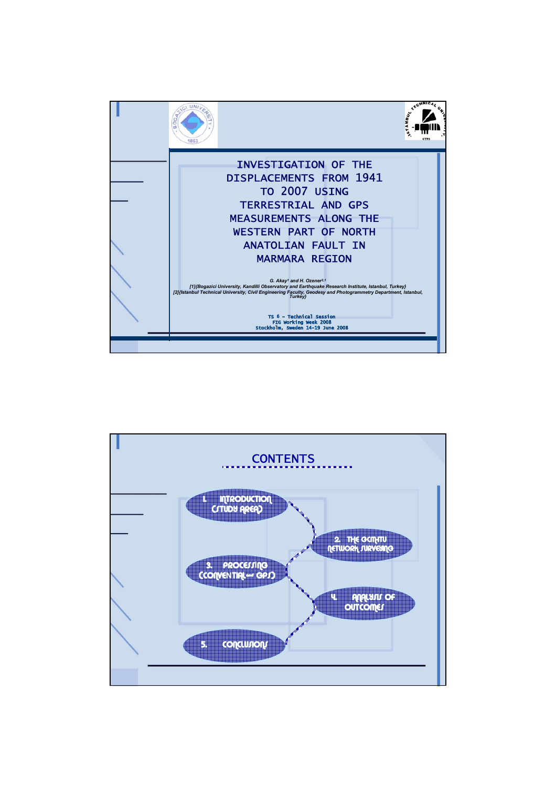

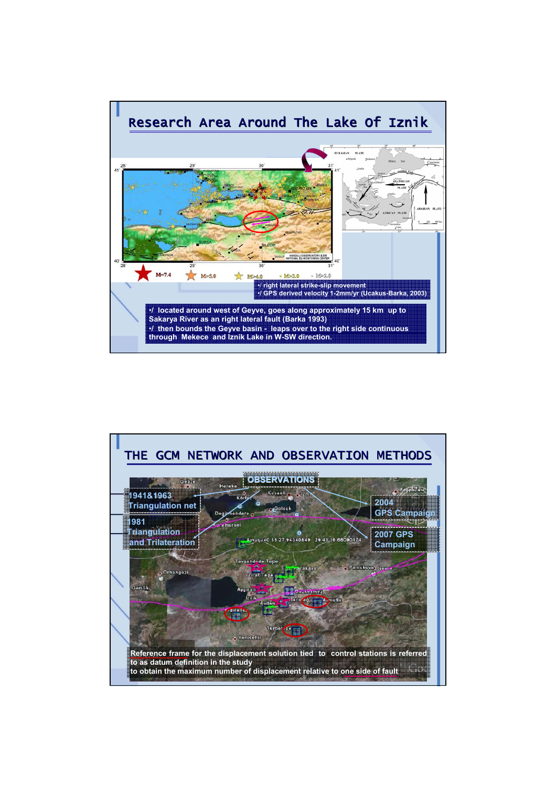

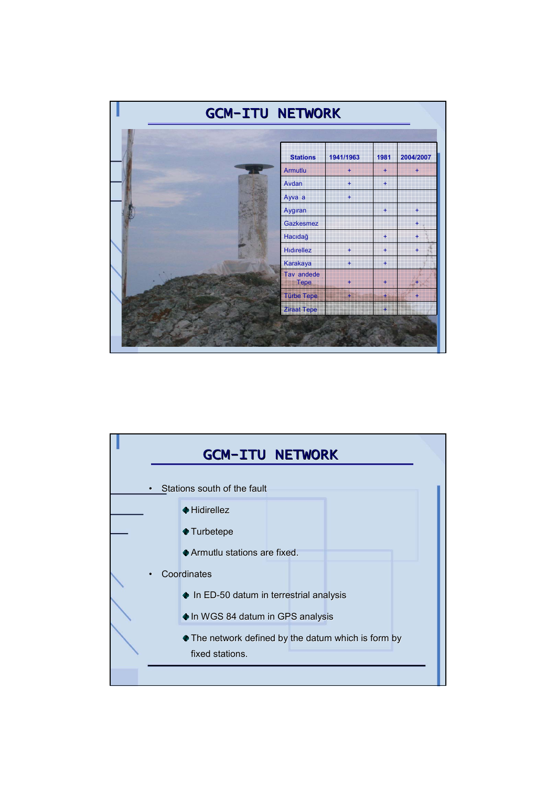

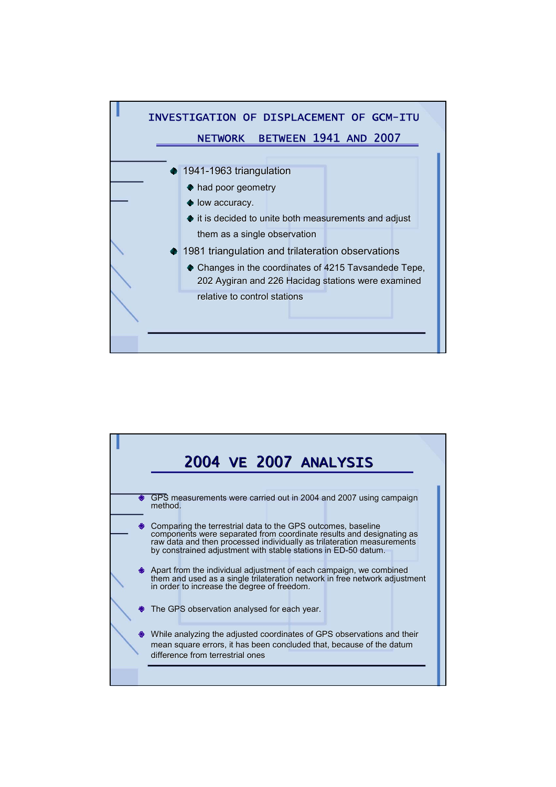

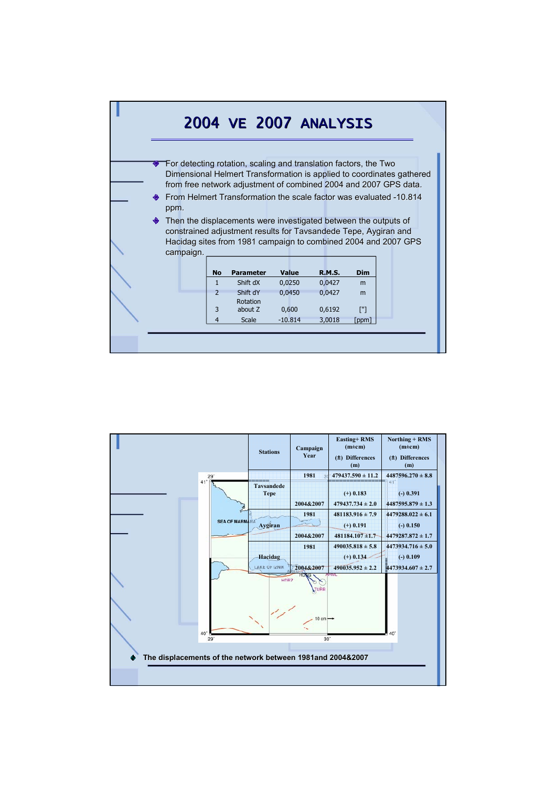

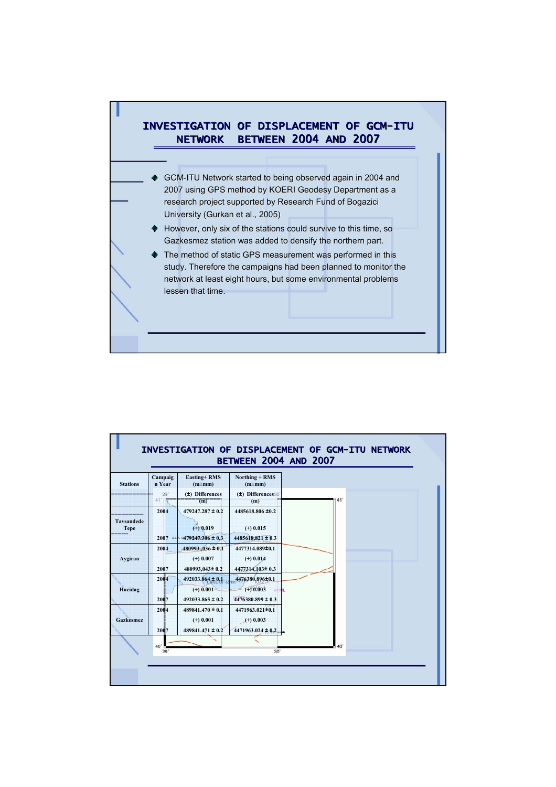

| <b>Stations</b>                  | Campaig<br>n Year     | <b>Easting+RMS</b><br>$(m \pm m m)$                               | Northing + RMS<br>$(m \pm m m)$                                  |            |
|----------------------------------|-----------------------|-------------------------------------------------------------------|------------------------------------------------------------------|------------|
|                                  | 29 <sup>°</sup><br>41 | $(\pm)$ Differences<br>(m)                                        | $(\pm)$ Differences 30<br>(m)                                    | $41^\circ$ |
| <b>Tavsandede</b><br><b>Tepe</b> | 2004                  | $479247.287 \pm 0.2$<br>$(+)$ 0.019<br>2007 SEA 0479247.306 ± 0.3 | 4485618.806 ±0.2<br>$(+)$ 0.015<br>$4485618.821 \pm 0.3$         |            |
| Aygiran                          | 2004<br>2007          | $480993036 \pm 0.1$<br>$(+)$ 0.007<br>480993,043±0.2              | 4477314.089±0.1<br>$(+)$ 0.014<br>4477314,103±0.3                |            |
| Hacidag                          | 2004<br>2007          | 492033.864 ± 0.1<br>$(+)$ 0.001<br>$492033.865 \pm 0.2$           | 4476380.896±0.1<br>$(+) 0.003$<br>AFOUL<br>$4476380.899 \pm 0.3$ |            |
| Gazkesmez                        | 2004<br>2007          | $489841.470 \pm 0.1$<br>$(+)$ 0.001<br>$489841.471 \pm 0.2$       | 4471963.021±0.1<br>$(+) 0.003$<br>$4471963.024 \pm 0.2$          |            |
|                                  | 40'<br>29'            |                                                                   | $30^{\circ}$                                                     |            |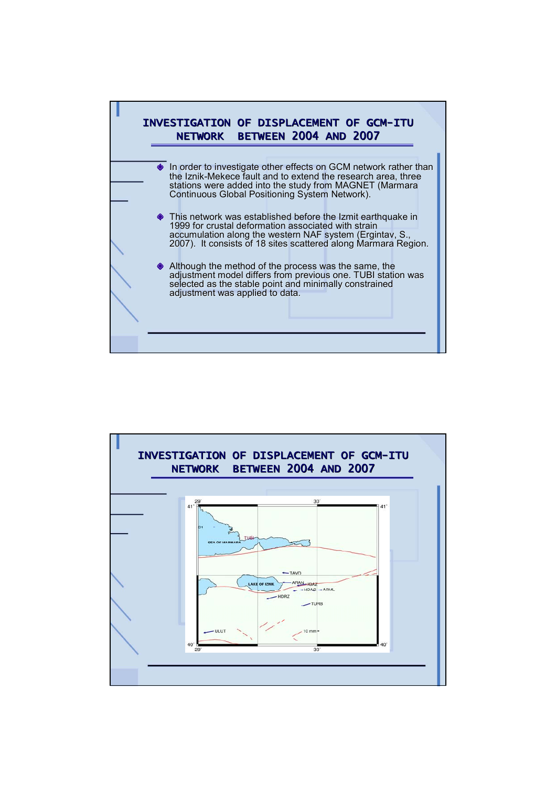

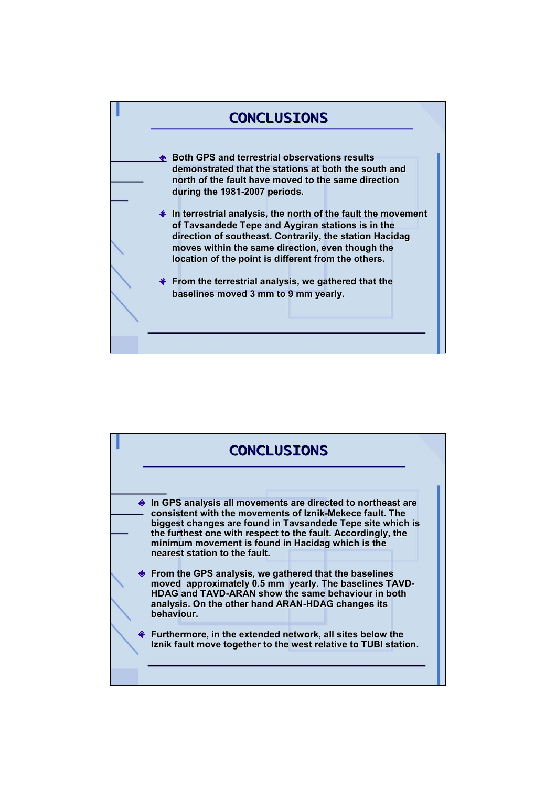